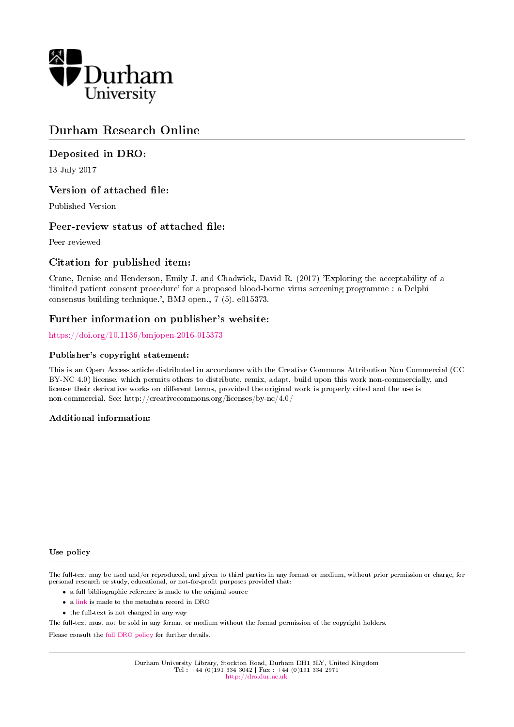

# Durham Research Online

## Deposited in DRO:

13 July 2017

## Version of attached file:

Published Version

## Peer-review status of attached file:

Peer-reviewed

## Citation for published item:

Crane, Denise and Henderson, Emily J. and Chadwick, David R. (2017) 'Exploring the acceptability of a `limited patient consent procedure' for a proposed blood-borne virus screening programme : a Delphi consensus building technique.', BMJ open., 7 (5). e015373.

## Further information on publisher's website:

<https://doi.org/10.1136/bmjopen-2016-015373>

#### Publisher's copyright statement:

This is an Open Access article distributed in accordance with the Creative Commons Attribution Non Commercial (CC BY-NC 4.0) license, which permits others to distribute, remix, adapt, build upon this work non-commercially, and license their derivative works on different terms, provided the original work is properly cited and the use is non-commercial. See: http://creativecommons.org/licenses/by-nc/4.0/

### Additional information:

#### Use policy

The full-text may be used and/or reproduced, and given to third parties in any format or medium, without prior permission or charge, for personal research or study, educational, or not-for-profit purposes provided that:

- a full bibliographic reference is made to the original source
- a [link](http://dro.dur.ac.uk/22288/) is made to the metadata record in DRO
- the full-text is not changed in any way

The full-text must not be sold in any format or medium without the formal permission of the copyright holders.

Please consult the [full DRO policy](http://dro.dur.ac.uk/policies/usepolicy.pdf) for further details.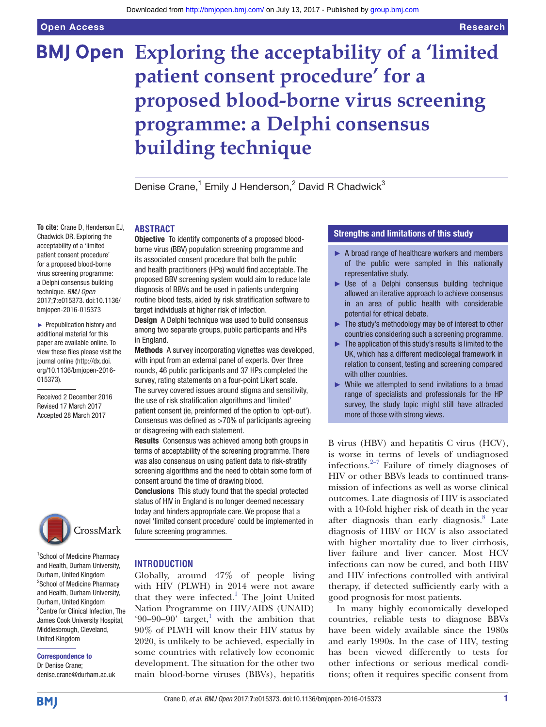# **Exploring the acceptability of a 'limited patient consent procedure' for a proposed blood-borne virus screening programme: a Delphi consensus building technique**

Denise Crane,<sup>1</sup> Emily J Henderson,<sup>2</sup> David R Chadwick<sup>3</sup>

#### **To cite:** Crane D, Henderson EJ, Chadwick DR. Exploring the acceptability of a 'limited patient consent procedure' for a proposed blood-borne virus screening programme: a Delphi consensus building technique. *BMJ Open* 2017;7:e015373. doi:10.1136/ bmjopen-2016-015373

► Prepublication history and additional material for this paper are available online. To view these files please visit the journal online [\(http://dx.doi.](http://dx.doi.org/10.1136/bmjopen-2016-015373) [org/10.1136/bmjopen-2016-](http://dx.doi.org/10.1136/bmjopen-2016-015373) [015373\)](http://dx.doi.org/10.1136/bmjopen-2016-015373).

Received 2 December 2016 Revised 17 March 2017 Accepted 28 March 2017



<sup>1</sup>School of Medicine Pharmacy and Health, Durham University, Durham, United Kingdom <sup>2</sup>School of Medicine Pharmacy and Health, Durham University, Durham, United Kingdom 3 Centre for Clinical Infection, The James Cook University Hospital, Middlesbrough, Cleveland, United Kingdom

#### Correspondence to Dr Denise Crane;

denise.crane@durham.ac.uk

#### **Abstract**

**Objective** To identify components of a proposed bloodborne virus (BBV) population screening programme and its associated consent procedure that both the public and health practitioners (HPs) would find acceptable. The proposed BBV screening system would aim to reduce late diagnosis of BBVs and be used in patients undergoing routine blood tests, aided by risk stratification software to target individuals at higher risk of infection.

**Design** A Delphi technique was used to build consensus among two separate groups, public participants and HPs in England.

Methods A survey incorporating vignettes was developed, with input from an external panel of experts. Over three rounds, 46 public participants and 37 HPs completed the survey, rating statements on a four-point Likert scale. The survey covered issues around stigma and sensitivity, the use of risk stratification algorithms and 'limited' patient consent (ie, preinformed of the option to 'opt-out'). Consensus was defined as >70% of participants agreeing or disagreeing with each statement.

Results Consensus was achieved among both groups in terms of acceptability of the screening programme. There was also consensus on using patient data to risk-stratify screening algorithms and the need to obtain some form of consent around the time of drawing blood.

Conclusions This study found that the special protected status of HIV in England is no longer deemed necessary today and hinders appropriate care. We propose that a novel 'limited consent procedure' could be implemented in future screening programmes.

#### **Introduction**

Globally, around 47% of people living with HIV (PLWH) in 2014 were not aware that they were infected. $1$  The Joint United Nation Programme on HIV/AIDS (UNAID) '90-90-90' target,<sup>[1](#page-8-0)</sup> with the ambition that 90% of PLWH will know their HIV status by 2020, is unlikely to be achieved, especially in some countries with relatively low economic development. The situation for the other two main blood-borne viruses (BBVs), hepatitis

#### Strengths and limitations of this study

- ► A broad range of healthcare workers and members of the public were sampled in this nationally representative study.
- ► Use of a Delphi consensus building technique allowed an iterative approach to achieve consensus in an area of public health with considerable potential for ethical debate.
- ► The study's methodology may be of interest to other countries considering such a screening programme.
- $\blacktriangleright$  The application of this study's results is limited to the UK, which has a different medicolegal framework in relation to consent, testing and screening compared with other countries.
- $\triangleright$  While we attempted to send invitations to a broad range of specialists and professionals for the HP survey, the study topic might still have attracted more of those with strong views.

B virus (HBV) and hepatitis C virus (HCV), is worse in terms of levels of undiagnosed infections. $2\frac{3}{7}$  Failure of timely diagnoses of HIV or other BBVs leads to continued transmission of infections as well as worse clinical outcomes. Late diagnosis of HIV is associated with a 10-fold higher risk of death in the year after diagnosis than early diagnosis.<sup>8</sup> Late diagnosis of HBV or HCV is also associated with higher mortality due to liver cirrhosis, liver failure and liver cancer. Most HCV infections can now be cured, and both HBV and HIV infections controlled with antiviral therapy, if detected sufficiently early with a good prognosis for most patients.

In many highly economically developed countries, reliable tests to diagnose BBVs have been widely available since the 1980s and early 1990s. In the case of HIV, testing has been viewed differently to tests for other infections or serious medical conditions; often it requires specific consent from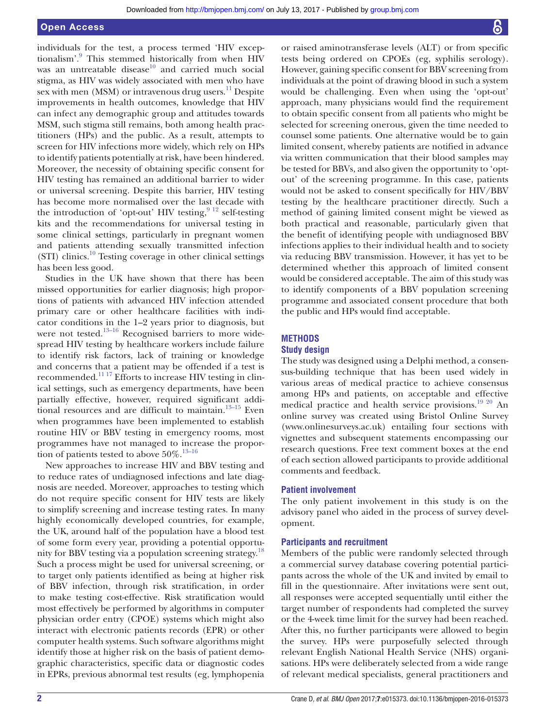individuals for the test, a process termed 'HIV exceptionalism'.<sup>9</sup> This stemmed historically from when HIV was an untreatable disease<sup>10</sup> and carried much social stigma, as HIV was widely associated with men who have sex with men (MSM) or intravenous drug users. $^{11}$  Despite improvements in health outcomes, knowledge that HIV can infect any demographic group and attitudes towards MSM, such stigma still remains, both among health practitioners (HPs) and the public. As a result, attempts to screen for HIV infections more widely, which rely on HPs to identify patients potentially at risk, have been hindered. Moreover, the necessity of obtaining specific consent for HIV testing has remained an additional barrier to wider or universal screening. Despite this barrier, HIV testing has become more normalised over the last decade with the introduction of 'opt-out' HIV testing,  $9^{12}$  self-testing kits and the recommendations for universal testing in some clinical settings, particularly in pregnant women and patients attending sexually transmitted infection (STI) clinics[.10](#page-8-4) Testing coverage in other clinical settings has been less good.

Studies in the UK have shown that there has been missed opportunities for earlier diagnosis; high proportions of patients with advanced HIV infection attended primary care or other healthcare facilities with indicator conditions in the 1–2 years prior to diagnosis, but were not tested.<sup>13–16</sup> Recognised barriers to more widespread HIV testing by healthcare workers include failure to identify risk factors, lack of training or knowledge and concerns that a patient may be offended if a test is recommended.<sup>11 17</sup> Efforts to increase HIV testing in clinical settings, such as emergency departments, have been partially effective, however, required significant additional resources and are difficult to maintain.<sup>13-15</sup> Even when programmes have been implemented to establish routine HIV or BBV testing in emergency rooms, most programmes have not managed to increase the proportion of patients tested to above  $50\%$ .<sup>13-16</sup>

New approaches to increase HIV and BBV testing and to reduce rates of undiagnosed infections and late diagnosis are needed. Moreover, approaches to testing which do not require specific consent for HIV tests are likely to simplify screening and increase testing rates. In many highly economically developed countries, for example, the UK, around half of the population have a blood test of some form every year, providing a potential opportu-nity for BBV testing via a population screening strategy.<sup>[18](#page-8-7)</sup> Such a process might be used for universal screening, or to target only patients identified as being at higher risk of BBV infection, through risk stratification, in order to make testing cost-effective. Risk stratification would most effectively be performed by algorithms in computer physician order entry (CPOE) systems which might also interact with electronic patients records (EPR) or other computer health systems. Such software algorithms might identify those at higher risk on the basis of patient demographic characteristics, specific data or diagnostic codes in EPRs, previous abnormal test results (eg, lymphopenia

or raised aminotransferase levels (ALT) or from specific tests being ordered on CPOEs (eg, syphilis serology). However, gaining specific consent for BBV screening from individuals at the point of drawing blood in such a system would be challenging. Even when using the 'opt-out' approach, many physicians would find the requirement to obtain specific consent from all patients who might be selected for screening onerous, given the time needed to counsel some patients. One alternative would be to gain limited consent, whereby patients are notified in advance via written communication that their blood samples may be tested for BBVs, and also given the opportunity to 'optout' of the screening programme. In this case, patients would not be asked to consent specifically for HIV/BBV testing by the healthcare practitioner directly. Such a method of gaining limited consent might be viewed as both practical and reasonable, particularly given that the benefit of identifying people with undiagnosed BBV infections applies to their individual health and to society via reducing BBV transmission. However, it has yet to be determined whether this approach of limited consent would be considered acceptable. The aim of this study was to identify components of a BBV population screening programme and associated consent procedure that both the public and HPs would find acceptable.

#### **Methods**

#### **Study design**

The study was designed using a Delphi method, a consensus-building technique that has been used widely in various areas of medical practice to achieve consensus among HPs and patients, on acceptable and effective medical practice and health service provisions.<sup>19 20</sup> An online survey was created using Bristol Online Survey [\(www.onlinesurveys.ac.uk\)](www.onlinesurveys.ac.uk) entailing four sections with vignettes and subsequent statements encompassing our research questions. Free text comment boxes at the end of each section allowed participants to provide additional comments and feedback.

#### **Patient involvement**

The only patient involvement in this study is on the advisory panel who aided in the process of survey development.

#### **Participants and recruitment**

Members of the public were randomly selected through a commercial survey database covering potential participants across the whole of the UK and invited by email to fill in the questionnaire. After invitations were sent out, all responses were accepted sequentially until either the target number of respondents had completed the survey or the 4-week time limit for the survey had been reached. After this, no further participants were allowed to begin the survey. HPs were purposefully selected through relevant English National Health Service (NHS) organisations. HPs were deliberately selected from a wide range of relevant medical specialists, general practitioners and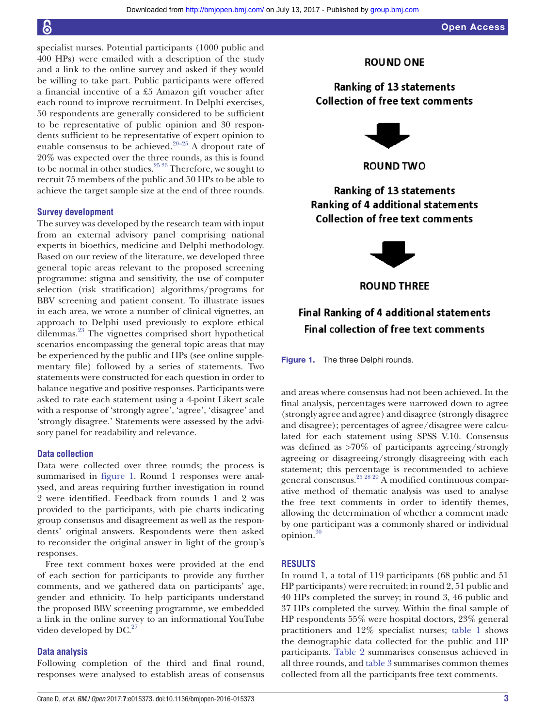specialist nurses. Potential participants (1000 public and 400 HPs) were emailed with a description of the study and a link to the online survey and asked if they would be willing to take part. Public participants were offered a financial incentive of a £5 Amazon gift voucher after each round to improve recruitment. In Delphi exercises, 50 respondents are generally considered to be sufficient to be representative of public opinion and 30 respondents sufficient to be representative of expert opinion to enable consensus to be achieved.<sup>[20–25](#page-9-1)</sup> A dropout rate of 20% was expected over the three rounds, as this is found to be normal in other studies.<sup>25,26</sup> Therefore, we sought to recruit 75 members of the public and 50 HPs to be able to achieve the target sample size at the end of three rounds.

#### **Survey development**

The survey was developed by the research team with input from an external advisory panel comprising national experts in bioethics, medicine and Delphi methodology. Based on our review of the literature, we developed three general topic areas relevant to the proposed screening programme: stigma and sensitivity, the use of computer selection (risk stratification) algorithms/programs for BBV screening and patient consent. To illustrate issues in each area, we wrote a number of clinical vignettes, an approach to Delphi used previously to explore ethical dilemmas[.23](#page-9-3) The vignettes comprised short hypothetical scenarios encompassing the general topic areas that may be experienced by the public and HPs (see online supplementary file) followed by a series of statements. Two statements were constructed for each question in order to balance negative and positive responses. Participants were asked to rate each statement using a 4-point Likert scale with a response of 'strongly agree', 'agree', 'disagree' and 'strongly disagree.' Statements were assessed by the advisory panel for readability and relevance.

#### **Data collection**

Data were collected over three rounds; the process is summarised in [figure](#page-3-0) 1. Round 1 responses were analysed, and areas requiring further investigation in round 2 were identified. Feedback from rounds 1 and 2 was provided to the participants, with pie charts indicating group consensus and disagreement as well as the respondents' original answers. Respondents were then asked to reconsider the original answer in light of the group's responses.

Free text comment boxes were provided at the end of each section for participants to provide any further comments, and we gathered data on participants' age, gender and ethnicity. To help participants understand the proposed BBV screening programme, we embedded a link in the online survey to an informational YouTube video developed by  $DC<sup>27</sup>$ 

#### **Data analysis**

Following completion of the third and final round, responses were analysed to establish areas of consensus

#### **ROUND ONE**

## **Ranking of 13 statements Collection of free text comments**



#### **ROUND TWO**

## **Ranking of 13 statements Ranking of 4 additional statements Collection of free text comments**



**ROUND THREE** 

## **Final Ranking of 4 additional statements Final collection of free text comments**

<span id="page-3-0"></span>Figure 1. The three Delphi rounds.

and areas where consensus had not been achieved. In the final analysis, percentages were narrowed down to agree (strongly agree and agree) and disagree (strongly disagree and disagree); percentages of agree/disagree were calculated for each statement using SPSS V.10. Consensus was defined as >70% of participants agreeing/strongly agreeing or disagreeing/strongly disagreeing with each statement; this percentage is recommended to achieve general consensus.[25 28 29](#page-9-2) A modified continuous comparative method of thematic analysis was used to analyse the free text comments in order to identify themes, allowing the determination of whether a comment made by one participant was a commonly shared or individual opinion.<sup>[30](#page-9-5)</sup>

#### **Results**

In round 1, a total of 119 participants (68 public and 51 HP participants) were recruited; in round 2, 51 public and 40 HPs completed the survey; in round 3, 46 public and 37 HPs completed the survey. Within the final sample of HP respondents 55% were hospital doctors, 23% general practitioners and 12% specialist nurses; [table](#page-4-0) 1 shows the demographic data collected for the public and HP participants. [Table](#page-5-0) 2 summarises consensus achieved in all three rounds, and [table](#page-7-0) 3 summarises common themes collected from all the participants free text comments.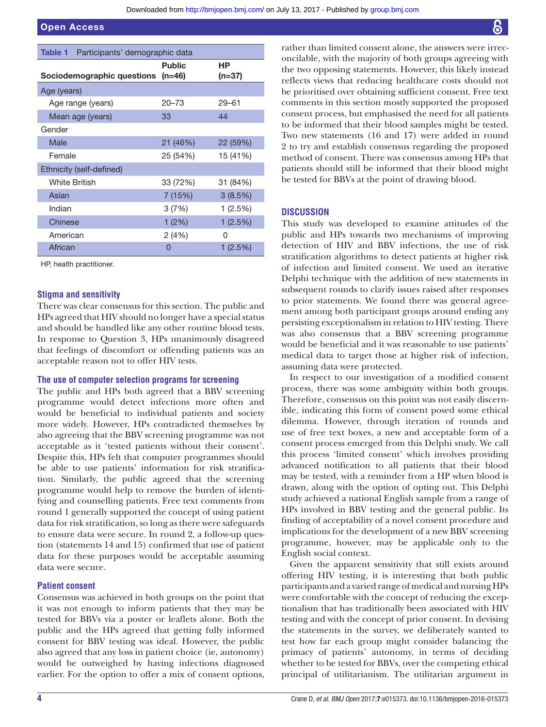<span id="page-4-0"></span>

| Table 1<br>Participants' demographic data |               |              |  |  |
|-------------------------------------------|---------------|--------------|--|--|
| Sociodemographic questions (n=46)         | <b>Public</b> | НP<br>(n=37) |  |  |
| Age (years)                               |               |              |  |  |
| Age range (years)                         | $20 - 73$     | $29 - 61$    |  |  |
| Mean age (years)                          | 33            | 44           |  |  |
| Gender                                    |               |              |  |  |
| Male                                      | 21 (46%)      | 22 (59%)     |  |  |
| 15 (41%)<br>Female<br>25 (54%)            |               |              |  |  |
| Ethnicity (self-defined)                  |               |              |  |  |
| <b>White British</b>                      | 33 (72%)      | 31 (84%)     |  |  |
| Asian                                     | 7(15%)        | 3(8.5%)      |  |  |
| Indian                                    | 3(7%)         | 1(2.5%)      |  |  |
| Chinese                                   | 1(2%)         | 1(2.5%)      |  |  |
| American                                  | 2(4%)         | 0            |  |  |
| African                                   | 0             | 1 (2.5%)     |  |  |

HP, health practitioner.

#### **Stigma and sensitivity**

There was clear consensus for this section. The public and HPs agreed that HIV should no longer have a special status and should be handled like any other routine blood tests. In response to Question 3, HPs unanimously disagreed that feelings of discomfort or offending patients was an acceptable reason not to offer HIV tests.

#### **The use of computer selection programs for screening**

The public and HPs both agreed that a BBV screening programme would detect infections more often and would be beneficial to individual patients and society more widely. However, HPs contradicted themselves by also agreeing that the BBV screening programme was not acceptable as it 'tested patients without their consent'. Despite this, HPs felt that computer programmes should be able to use patients' information for risk stratification. Similarly, the public agreed that the screening programme would help to remove the burden of identifying and counselling patients. Free text comments from round 1 generally supported the concept of using patient data for risk stratification, so long as there were safeguards to ensure data were secure. In round 2, a follow-up question (statements 14 and 15) confirmed that use of patient data for these purposes would be acceptable assuming data were secure.

#### **Patient consent**

Consensus was achieved in both groups on the point that it was not enough to inform patients that they may be tested for BBVs via a poster or leaflets alone. Both the public and the HPs agreed that getting fully informed consent for BBV testing was ideal. However, the public also agreed that any loss in patient choice (ie, autonomy) would be outweighed by having infections diagnosed earlier. For the option to offer a mix of consent options,

rather than limited consent alone, the answers were irreconcilable, with the majority of both groups agreeing with the two opposing statements. However, this likely instead reflects views that reducing healthcare costs should not be prioritised over obtaining sufficient consent. Free text comments in this section mostly supported the proposed consent process, but emphasised the need for all patients to be informed that their blood samples might be tested. Two new statements (16 and 17) were added in round 2 to try and establish consensus regarding the proposed method of consent. There was consensus among HPs that patients should still be informed that their blood might be tested for BBVs at the point of drawing blood.

#### **Discussion**

This study was developed to examine attitudes of the public and HPs towards two mechanisms of improving detection of HIV and BBV infections, the use of risk stratification algorithms to detect patients at higher risk of infection and limited consent. We used an iterative Delphi technique with the addition of new statements in subsequent rounds to clarify issues raised after responses to prior statements. We found there was general agreement among both participant groups around ending any persisting exceptionalism in relation to HIV testing. There was also consensus that a BBV screening programme would be beneficial and it was reasonable to use patients' medical data to target those at higher risk of infection, assuming data were protected.

In respect to our investigation of a modified consent process, there was some ambiguity within both groups. Therefore, consensus on this point was not easily discernible, indicating this form of consent posed some ethical dilemma. However, through iteration of rounds and use of free text boxes, a new and acceptable form of a consent process emerged from this Delphi study. We call this process 'limited consent' which involves providing advanced notification to all patients that their blood may be tested, with a reminder from a HP when blood is drawn, along with the option of opting out. This Delphi study achieved a national English sample from a range of HPs involved in BBV testing and the general public. Its finding of acceptability of a novel consent procedure and implications for the development of a new BBV screening programme, however, may be applicable only to the English social context.

Given the apparent sensitivity that still exists around offering HIV testing, it is interesting that both public participants and a varied range of medical and nursing HPs were comfortable with the concept of reducing the exceptionalism that has traditionally been associated with HIV testing and with the concept of prior consent. In devising the statements in the survey, we deliberately wanted to test how far each group might consider balancing the primacy of patients' autonomy, in terms of deciding whether to be tested for BBVs, over the competing ethical principal of utilitarianism. The utilitarian argument in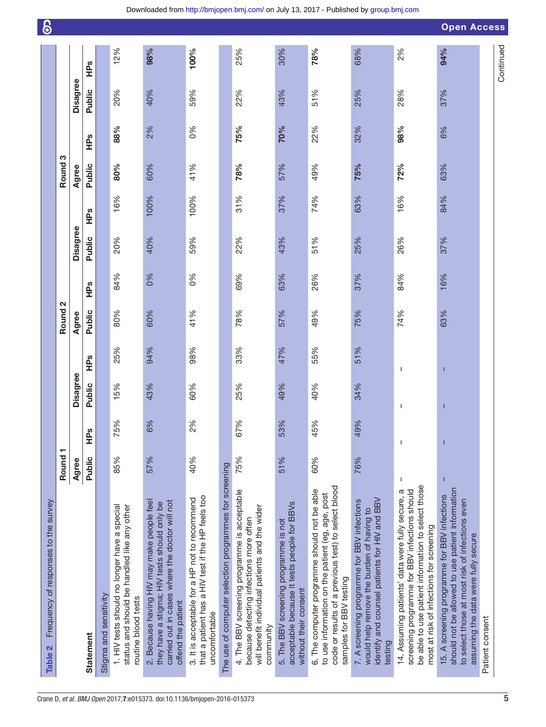<span id="page-5-0"></span>

| Frequency of responses to the survey<br>$\overline{\mathbf{c}}$<br><b>Table</b>                                                                                                                     |                         |            |                 |     |                    |         |                 |                 |                    |        |                 |           | ၆                  |
|-----------------------------------------------------------------------------------------------------------------------------------------------------------------------------------------------------|-------------------------|------------|-----------------|-----|--------------------|---------|-----------------|-----------------|--------------------|--------|-----------------|-----------|--------------------|
|                                                                                                                                                                                                     | $\blacksquare$<br>Round |            |                 |     | Round <sub>2</sub> |         |                 |                 | Round <sub>3</sub> |        |                 |           |                    |
|                                                                                                                                                                                                     | Agree                   |            | <b>Disagree</b> |     | Agree              |         | <b>Disagree</b> |                 | Agree              |        | <b>Disagree</b> |           |                    |
| Statement                                                                                                                                                                                           | Public                  | <b>AHR</b> | Public          | HPs | Public             | ея<br>Н | Public          | HP <sub>S</sub> | Public             | 。<br>全 | Public          | HPs       |                    |
| Stigma and sensitivity                                                                                                                                                                              |                         |            |                 |     |                    |         |                 |                 |                    |        |                 |           |                    |
| 1. HIV tests should no longer have a special<br>status and should be handled like any other<br>routine blood tests                                                                                  | 85%                     | 75%        | 15%             | 25% | 80%                | 84%     | 20%             | 16%             | 80%                | 88%    | 20%             | 12%       |                    |
| carried out in cases where the doctor will not<br>2. Because having HIV may make people feel<br>they have a stigma; HIV tests should only be<br>offend the patient                                  | 57%                     | 6%         | 43%             | 94% | 60%                | 0%      | 40%             | 100%            | 60%                | 2%     | 40%             | 98%       |                    |
| that a patient has a HIV test if the HP feels too<br>3. It is acceptable for a HP not to recommend<br>uncomfortable                                                                                 | 40%                     | 2%         | 60%             | 98% | 41%                | 0%      | 59%             | 100%            | 41%                | 0%     | 59%             | 100%      |                    |
| The use of computer selection programmes for screening                                                                                                                                              |                         |            |                 |     |                    |         |                 |                 |                    |        |                 |           |                    |
| 4. The BBV screening programme is acceptable<br>will benefit individual patients and the wider<br>because detecting infections more often<br>community                                              | 75%                     | 67%        | 25%             | 33% | 78%                | 69%     | 22%             | 31%             | 78%                | 75%    | 22%             | 25%       |                    |
| acceptable because it tests people for BBVs<br>5. The BBV screening programme is not<br>without their consent                                                                                       | 51%                     | 53%        | 49%             | 47% | 57%                | 63%     | 43%             | 37%             | 57%                | 70%    | 43%             | 30%       |                    |
| code or results of a previous test) to select blood<br>6. The computer programme should not be able<br>to use information on the patient (eg, age, post<br>samples for BBV testing                  | 60%                     | 45%        | 40%             | 55% | 49%                | 26%     | 51%             | 74%             | 49%                | 22%    | 51%             | 78%       |                    |
| identify and counsel patients for HIV and BBV<br>7. A screening programme for BBV infections<br>would help remove the burden of having to<br>testing                                                | 76%                     | 49%        | 34%             | 51% | 75%                | 37%     | 25%             | 63%             | 75%                | 32%    | 25%             | 68%       |                    |
| be able to use patient information to select those<br>screening programme for BBV infections should<br>14. Assuming patients' data were fully secure, a<br>most at risk of infections for screening | J.                      | J          | I               | I   | 74%                | 84%     | 26%             | 16%             | 72%                | 98%    | 28%             | 2%        |                    |
| should not be allowed to use patient information<br>15. A screening programme for BBV infections<br>to select those at most risk of infections even<br>assuming the data were fully secure          | т                       | T          |                 | T   | 63%                | 16%     | 37%             | 84%             | 63%                | 6%     | 37%             | 94%       | <b>Open Access</b> |
| Patient consent                                                                                                                                                                                     |                         |            |                 |     |                    |         |                 |                 |                    |        |                 |           |                    |
|                                                                                                                                                                                                     |                         |            |                 |     |                    |         |                 |                 |                    |        |                 | Continued |                    |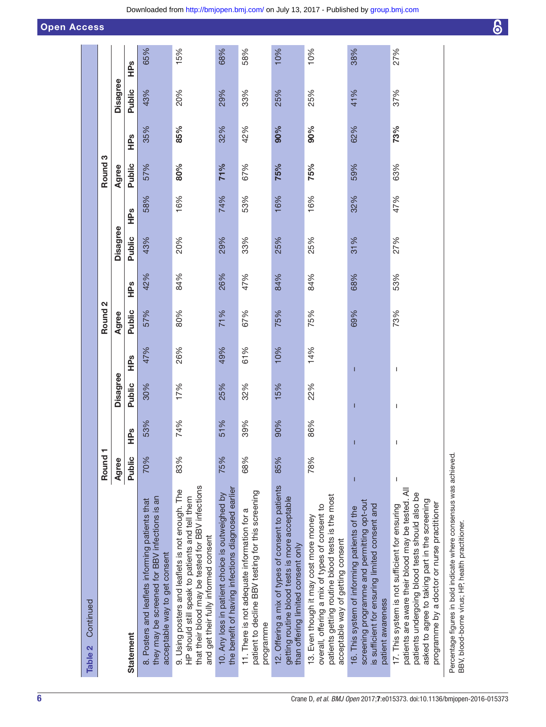| Downloaded from http://bmjopen.bmj.com/ on July 13, 2017 - Published by group.bmj.com |  |  |
|---------------------------------------------------------------------------------------|--|--|
|                                                                                       |  |  |

10%

10%

Open Access

65%

15%

68%

58%

| 27% |  |
|-----|--|
| 37% |  |
| 73% |  |

| Continued<br>Table 2                                                                                                                                                                                                                                   |            |     |          |     |                    |     |          |                 |                    |        |          |     |
|--------------------------------------------------------------------------------------------------------------------------------------------------------------------------------------------------------------------------------------------------------|------------|-----|----------|-----|--------------------|-----|----------|-----------------|--------------------|--------|----------|-----|
|                                                                                                                                                                                                                                                        | ┯<br>Round |     |          |     | Round <sub>2</sub> |     |          |                 | Round <sub>3</sub> |        |          |     |
|                                                                                                                                                                                                                                                        | Agree      |     | Disagree |     | Agree              |     | Disagree |                 | Agree              |        | Disagree |     |
| <b>Statement</b>                                                                                                                                                                                                                                       | Public     | ея  | Public   | HPs | Public             | HPs | Public   | HP <sub>S</sub> | Public             | ея     | Public   | HPs |
| they may be screened for BBV infections is an<br>8. Posters and leaflets informing patients that<br>acceptable way to get consent                                                                                                                      | 70%        | 53% | 30%      | 47% | 57%                | 42% | 43%      | 58%             | 57%                | 35%    | 43%      | 65% |
| that their blood may be tested for BBV infections<br>9. Using posters and leaflets is not enough. The<br>HP should still speak to patients and tell them<br>and get their fully informed consent                                                       | 83%        | 74% | 17%      | 26% | 80%                | 84% | 20%      | 16%             | 80%                | 85%    | 20%      | 15% |
| the benefit of having infections diagnosed earlier<br>10. Any loss in patient choice is outweighed by                                                                                                                                                  | 75%        | 51% | 25%      | 49% | 71%                | 26% | 29%      | 74%             | 71%                | 32%    | 29%      | 68% |
| patient to decline BBV testing for this screening<br>11. There is not adequate information for a<br>programme                                                                                                                                          | 68%        | 39% | 32%      | 61% | 67%                | 47% | 33%      | 53%             | 67%                | 42%    | 33%      | 58% |
| 12. Offering a mix of types of consent to patients<br>getting routine blood tests is more acceptable<br>than offering limited consent only                                                                                                             | 85%        | 90% | 15%      | 10% | 75%                | 84% | 25%      | 16%             | 75%                | 90%    | 25%      | 10% |
| patients getting routine blood tests is the most<br>overall, offering a mix of types of consent to<br>13. Even though it may cost more money<br>acceptable way of getting consent                                                                      | 78%        | 86% | 22%      | 14% | 75%                | 84% | 25%      | 16%             | 75%                | $90\%$ | 25%      | 10% |
| screening programme and permitting opt-out<br>is sufficient for ensuring limited consent and<br>16. This system of informing patients of the<br>patient awareness                                                                                      |            |     |          |     | 69%                | 68% | 31%      | 32%             | 59%                | 62%    | 41%      | 38% |
| patients are aware their blood may be tested. All<br>patients undergoing blood tests should also be<br>asked to agree to taking part in the screening<br>programme by a doctor or nurse practitioner<br>17. This system is not sufficient for ensuring | T          | I   | I        | I   | 73%                | 53% | 27%      | 47%             | 63%                | 73%    | 37%      | 27% |
| Percentage figures in bold indicate where consensus was achieved.<br>BBV, blood-borne virus; HP, health practitioner.                                                                                                                                  |            |     |          |     |                    |     |          |                 |                    |        |          |     |

38%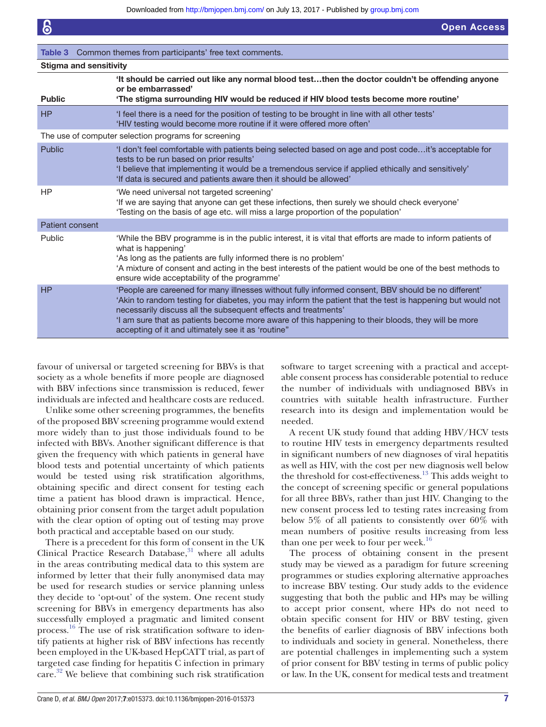<span id="page-7-0"></span>

|                               | <b>Table 3</b> Common themes from participants' free text comments.                                                                                                                                                                                                                                                                                                                                                                           |
|-------------------------------|-----------------------------------------------------------------------------------------------------------------------------------------------------------------------------------------------------------------------------------------------------------------------------------------------------------------------------------------------------------------------------------------------------------------------------------------------|
| <b>Stigma and sensitivity</b> |                                                                                                                                                                                                                                                                                                                                                                                                                                               |
| <b>Public</b>                 | 'It should be carried out like any normal blood testthen the doctor couldn't be offending anyone<br>or be embarrassed'<br>'The stigma surrounding HIV would be reduced if HIV blood tests become more routine'                                                                                                                                                                                                                                |
| <b>HP</b>                     | 'I feel there is a need for the position of testing to be brought in line with all other tests'<br>'HIV testing would become more routine if it were offered more often'                                                                                                                                                                                                                                                                      |
|                               | The use of computer selection programs for screening                                                                                                                                                                                                                                                                                                                                                                                          |
| Public                        | 'I don't feel comfortable with patients being selected based on age and post codeit's acceptable for<br>tests to be run based on prior results'<br>'I believe that implementing it would be a tremendous service if applied ethically and sensitively'<br>'If data is secured and patients aware then it should be allowed'                                                                                                                   |
| <b>HP</b>                     | 'We need universal not targeted screening'<br>'If we are saying that anyone can get these infections, then surely we should check everyone'<br>'Testing on the basis of age etc. will miss a large proportion of the population'                                                                                                                                                                                                              |
| Patient consent               |                                                                                                                                                                                                                                                                                                                                                                                                                                               |
| Public                        | 'While the BBV programme is in the public interest, it is vital that efforts are made to inform patients of<br>what is happening'<br>'As long as the patients are fully informed there is no problem'<br>A mixture of consent and acting in the best interests of the patient would be one of the best methods to<br>ensure wide acceptability of the programme'                                                                              |
| <b>HP</b>                     | 'People are careened for many illnesses without fully informed consent, BBV should be no different'<br>'Akin to random testing for diabetes, you may inform the patient that the test is happening but would not<br>necessarily discuss all the subsequent effects and treatments'<br>I am sure that as patients become more aware of this happening to their bloods, they will be more<br>accepting of it and ultimately see it as 'routine" |

favour of universal or targeted screening for BBVs is that society as a whole benefits if more people are diagnosed with BBV infections since transmission is reduced, fewer individuals are infected and healthcare costs are reduced.

Unlike some other screening programmes, the benefits of the proposed BBV screening programme would extend more widely than to just those individuals found to be infected with BBVs. Another significant difference is that given the frequency with which patients in general have blood tests and potential uncertainty of which patients would be tested using risk stratification algorithms, obtaining specific and direct consent for testing each time a patient has blood drawn is impractical. Hence, obtaining prior consent from the target adult population with the clear option of opting out of testing may prove both practical and acceptable based on our study.

There is a precedent for this form of consent in the UK Clinical Practice Research Database, $31$  where all adults in the areas contributing medical data to this system are informed by letter that their fully anonymised data may be used for research studies or service planning unless they decide to 'opt-out' of the system. One recent study screening for BBVs in emergency departments has also successfully employed a pragmatic and limited consent process.<sup>[16](#page-8-8)</sup> The use of risk stratification software to identify patients at higher risk of BBV infections has recently been employed in the UK-based HepCATT trial, as part of targeted case finding for hepatitis C infection in primary care.<sup>32</sup> We believe that combining such risk stratification

software to target screening with a practical and acceptable consent process has considerable potential to reduce the number of individuals with undiagnosed BBVs in countries with suitable health infrastructure. Further research into its design and implementation would be needed.

A recent UK study found that adding HBV/HCV tests to routine HIV tests in emergency departments resulted in significant numbers of new diagnoses of viral hepatitis as well as HIV, with the cost per new diagnosis well below the threshold for cost-effectiveness.<sup>[13](#page-8-6)</sup> This adds weight to the concept of screening specific or general populations for all three BBVs, rather than just HIV. Changing to the new consent process led to testing rates increasing from below 5% of all patients to consistently over 60% with mean numbers of positive results increasing from less than one per week to four per week.<sup>16</sup>

The process of obtaining consent in the present study may be viewed as a paradigm for future screening programmes or studies exploring alternative approaches to increase BBV testing. Our study adds to the evidence suggesting that both the public and HPs may be willing to accept prior consent, where HPs do not need to obtain specific consent for HIV or BBV testing, given the benefits of earlier diagnosis of BBV infections both to individuals and society in general. Nonetheless, there are potential challenges in implementing such a system of prior consent for BBV testing in terms of public policy or law. In the UK, consent for medical tests and treatment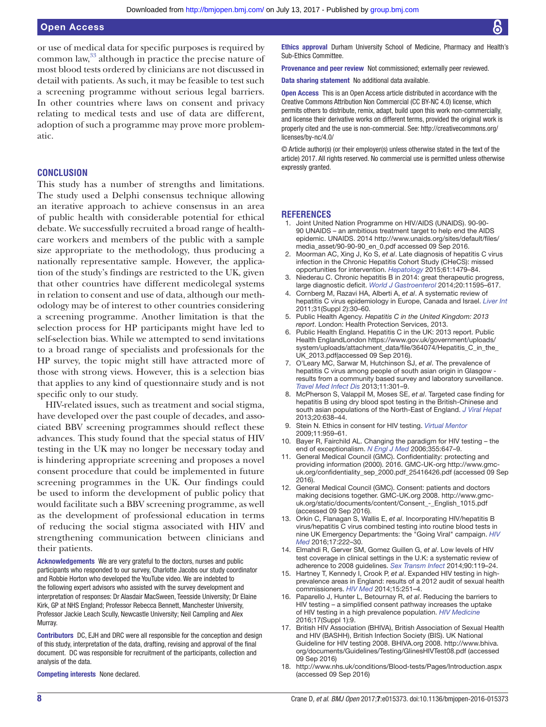or use of medical data for specific purposes is required by common law[,33](#page-9-8) although in practice the precise nature of most blood tests ordered by clinicians are not discussed in detail with patients. As such, it may be feasible to test such a screening programme without serious legal barriers. In other countries where laws on consent and privacy relating to medical tests and use of data are different, adoption of such a programme may prove more problematic.

#### **Conclusion**

Open Access

This study has a number of strengths and limitations. The study used a Delphi consensus technique allowing an iterative approach to achieve consensus in an area of public health with considerable potential for ethical debate. We successfully recruited a broad range of healthcare workers and members of the public with a sample size appropriate to the methodology, thus producing a nationally representative sample. However, the application of the study's findings are restricted to the UK, given that other countries have different medicolegal systems in relation to consent and use of data, although our methodology may be of interest to other countries considering a screening programme. Another limitation is that the selection process for HP participants might have led to self-selection bias. While we attempted to send invitations to a broad range of specialists and professionals for the HP survey, the topic might still have attracted more of those with strong views. However, this is a selection bias that applies to any kind of questionnaire study and is not specific only to our study.

HIV-related issues, such as treatment and social stigma, have developed over the past couple of decades, and associated BBV screening programmes should reflect these advances. This study found that the special status of HIV testing in the UK may no longer be necessary today and is hindering appropriate screening and proposes a novel consent procedure that could be implemented in future screening programmes in the UK. Our findings could be used to inform the development of public policy that would facilitate such a BBV screening programme, as well as the development of professional education in terms of reducing the social stigma associated with HIV and strengthening communication between clinicians and their patients.

Acknowledgements We are very grateful to the doctors, nurses and public participants who responded to our survey, Charlotte Jacobs our study coordinator and Robbie Horton who developed the YouTube video. We are indebted to the following expert advisors who assisted with the survey development and interpretation of responses: Dr Alasdair MacSween, Teesside University; Dr Elaine Kirk, GP at NHS England; Professor Rebecca Bennett, Manchester University, Professor Jackie Leach Scully, Newcastle University; Neil Campling and Alex **Murray** 

Contributors DC, EJH and DRC were all responsible for the conception and design of this study, interpretation of the data, drafting, revising and approval of the final document. DC was responsible for recruitment of the participants, collection and analysis of the data.

Competing interests None declared.

Ethics approval Durham University School of Medicine, Pharmacy and Health's Sub-Ethics Committee.

Provenance and peer review Not commissioned; externally peer reviewed.

Data sharing statement No additional data available.

Open Access This is an Open Access article distributed in accordance with the Creative Commons Attribution Non Commercial (CC BY-NC 4.0) license, which permits others to distribute, remix, adapt, build upon this work non-commercially, and license their derivative works on different terms, provided the original work is properly cited and the use is non-commercial. See: [http://creativecommons.org/](http://creativecommons.org/licenses/by-nc/4.0/) [licenses/by-nc/4.0/](http://creativecommons.org/licenses/by-nc/4.0/)

© Article author(s) (or their employer(s) unless otherwise stated in the text of the article) 2017. All rights reserved. No commercial use is permitted unless otherwise expressly granted.

#### **References**

- <span id="page-8-0"></span>1. Joint United Nation Programme on HIV/AIDS (UNAIDS). 90-90- 90 UNAIDS – an ambitious treatment target to help end the AIDS epidemic. UNAIDS. 2014 [http://www.unaids.org/sites/default/files/](http://www.unaids.org/sites/default/files/media_asset/90-90-90_en_0.pdf accessed 09 Sep 2016) [media\\_asset/90-90-90\\_en\\_0.pdf accessed 09 Sep 2016](http://www.unaids.org/sites/default/files/media_asset/90-90-90_en_0.pdf accessed 09 Sep 2016).
- <span id="page-8-1"></span>2. Moorman AC, Xing J, Ko S, *et al*. Late diagnosis of hepatitis C virus infection in the Chronic Hepatitis Cohort Study (CHeCS): missed opportunities for intervention. *[Hepatology](http://dx.doi.org/10.1002/hep.27365)* 2015;61:1479–84.
- 3. Niederau C. Chronic hepatitis B in 2014: great therapeutic progress, large diagnostic deficit. *[World J Gastroenterol](http://dx.doi.org/10.3748/wjg.v20.i33.11595)* 2014;20:11595–617.
- 4. Cornberg M, Razavi HA, Alberti A, *et al*. A systematic review of hepatitis C virus epidemiology in Europe, Canada and Israel. *[Liver Int](http://dx.doi.org/10.1111/j.1478-3231.2011.02539.x)* 2011;31(Suppl 2):30–60.
- 5. Public Health Agency. *Hepatitis C in the United Kingdom: 2013 report*. London: Health Protection Services, 2013.
- 6. Public Health England. Hepatitis C in the UK: 2013 report. Public Health EnglandLondon [https://www.gov.uk/government/uploads/](https://www.gov.uk/government/uploads/system/uploads/attachment_data/file/364074/Hepatitis_C_in_the_UK_2013.pdf) [system/uploads/attachment\\_data/file/364074/Hepatitis\\_C\\_in\\_the\\_](https://www.gov.uk/government/uploads/system/uploads/attachment_data/file/364074/Hepatitis_C_in_the_UK_2013.pdf) [UK\\_2013.pdf](https://www.gov.uk/government/uploads/system/uploads/attachment_data/file/364074/Hepatitis_C_in_the_UK_2013.pdf)(accessed 09 Sep 2016).
- 7. O'Leary MC, Sarwar M, Hutchinson SJ, *et al*. The prevalence of hepatitis C virus among people of south asian origin in Glasgow results from a community based survey and laboratory surveillance. *[Travel Med Infect Dis](http://dx.doi.org/10.1016/j.tmaid.2013.08.001)* 2013;11:301–9.
- <span id="page-8-2"></span>8. McPherson S, Valappil M, Moses SE, *et al*. Targeted case finding for hepatitis B using dry blood spot testing in the British-Chinese and south asian populations of the North-East of England. *[J Viral Hepat](http://dx.doi.org/10.1111/jvh.12084)* 2013;20:638–44.
- <span id="page-8-3"></span>9. Stein N. Ethics in consent for HIV testing. *[Virtual Mentor](http://dx.doi.org/10.1001/virtualmentor.2009.11.12.jdsc1-0912)* 2009;11:959–61.
- <span id="page-8-4"></span>10. Bayer R, Fairchild AL. Changing the paradigm for HIV testing – the end of exceptionalism. *[N Engl J Med](http://dx.doi.org/10.1056/NEJMp068153)* 2006;355:647–9.
- <span id="page-8-5"></span>11. General Medical Council (GMC). Confidentiality: protecting and providing information (2000). 2016. GMC-UK-org [http://www.gmc](http://www.gmc-uk.org/confidentiality_sep_2000.pdf_25416426.pdf)[uk.org/confidentiality\\_sep\\_2000.pdf\\_25416426.pdf](http://www.gmc-uk.org/confidentiality_sep_2000.pdf_25416426.pdf) (accessed 09 Sep 2016).
- 12. General Medical Council (GMC). Consent: patients and doctors making decisions together. GMC-UK.org 2008. [http://www.gmc](http://www.gmc-uk.org/static/documents/content/Consent_-_English_1015.pdf)[uk.org/static/documents/content/Consent\\_-\\_English\\_1015.pdf](http://www.gmc-uk.org/static/documents/content/Consent_-_English_1015.pdf)  (accessed 09 Sep 2016).
- <span id="page-8-6"></span>13. Orkin C, Flanagan S, Wallis E, *et al*. Incorporating HIV/hepatitis B virus/hepatitis C virus combined testing into routine blood tests in nine UK Emergency Departments: the "Going Viral" campaign. *[HIV](http://dx.doi.org/10.1111/hiv.12364)  [Med](http://dx.doi.org/10.1111/hiv.12364)* 2016;17:222–30.
- 14. Elmahdi R, Gerver SM, Gomez Guillen G, *et al*. Low levels of HIV test coverage in clinical settings in the U.K: a systematic review of adherence to 2008 guidelines. *[Sex Transm Infect](http://dx.doi.org/10.1136/sextrans-2013-051312)* 2014;90:119–24.
- 15. Hartney T, Kennedy I, Crook P, *et al*. Expanded HIV testing in highprevalence areas in England: results of a 2012 audit of sexual health commissioners. *[HIV Med](http://dx.doi.org/10.1111/hiv.12099)* 2014;15:251–4.
- <span id="page-8-8"></span>16. Paparello J, Hunter L, Betournay R, *et al*. Reducing the barriers to HIV testing – a simplified consent pathway increases the uptake of HIV testing in a high prevalence population. *HIV Medicine* 2016;17(Suppl 1):9.
- 17. British HIV Association (BHIVA), British Association of Sexual Health and HIV (BASHH), British Infection Society (BIS). UK National Guideline for HIV testing 2008. BHIVA.org 2008. [http://www.bhiva.](http://www.bhiva.org/documents/Guidelines/Testing/GlinesHIVTest08.pdf) [org/documents/Guidelines/Testing/GlinesHIVTest08.pdf](http://www.bhiva.org/documents/Guidelines/Testing/GlinesHIVTest08.pdf) (accessed 09 Sep 2016)
- <span id="page-8-7"></span>18. <http://www.nhs.uk/conditions/Blood-tests/Pages/Introduction.aspx> (accessed 09 Sep 2016)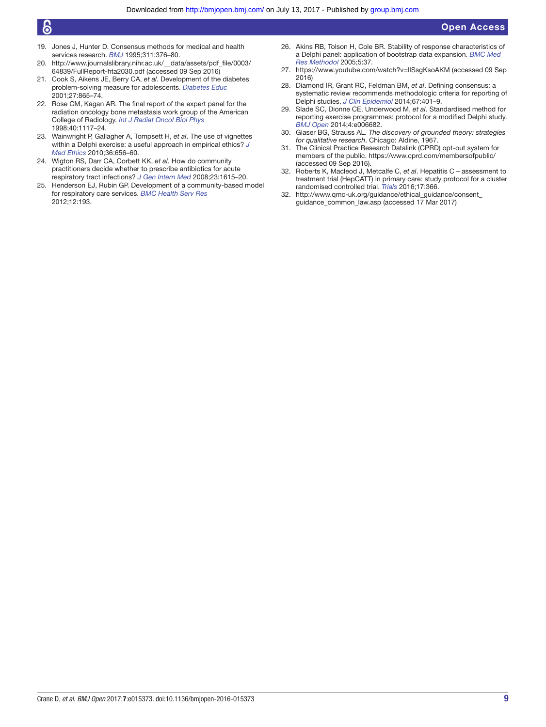# န

- <span id="page-9-0"></span>19. Jones J, Hunter D. Consensus methods for medical and health services research. *BMJ* 1995;311:376–80.
- <span id="page-9-1"></span>20. [http://www.journalslibrary.nihr.ac.uk/\\_\\_data/assets/pdf\\_file/0003/](http://www.journalslibrary.nihr.ac.uk/__data/assets/pdf_file/0003/64839/FullReport-hta2030.pdf) [64839/FullReport-hta2030.pdf](http://www.journalslibrary.nihr.ac.uk/__data/assets/pdf_file/0003/64839/FullReport-hta2030.pdf) (accessed 09 Sep 2016)
- 21. Cook S, Aikens JE, Berry CA, *et al*. Development of the diabetes problem-solving measure for adolescents. *[Diabetes Educ](http://dx.doi.org/10.1177/014572170102700612)* 2001;27:865–74.
- 22. Rose CM, Kagan AR. The final report of the expert panel for the radiation oncology bone metastasis work group of the American College of Radiology. *[Int J Radiat Oncol Biol Phys](http://dx.doi.org/10.1016/S0360-3016(97)00952-8)* 1998;40:1117–24.
- <span id="page-9-3"></span>23. Wainwright P, Gallagher A, Tompsett H, *et al*. The use of vignettes within a Delphi exercise: a useful approach in empirical ethics? *[J](http://dx.doi.org/10.1136/jme.2010.036616)  [Med Ethics](http://dx.doi.org/10.1136/jme.2010.036616)* 2010;36:656–60.
- 24. Wigton RS, Darr CA, Corbett KK, *et al*. How do community practitioners decide whether to prescribe antibiotics for acute respiratory tract infections? *[J Gen Intern Med](http://dx.doi.org/10.1007/s11606-008-0707-9)* 2008;23:1615–20.
- <span id="page-9-2"></span>25. Henderson EJ, Rubin GP. Development of a community-based model for respiratory care services. *[BMC Health Serv Res](http://dx.doi.org/10.1186/1472-6963-12-193)* 2012;12:193.
- 26. Akins RB, Tolson H, Cole BR. Stability of response characteristics of a Delphi panel: application of bootstrap data expansion. *[BMC Med](http://dx.doi.org/10.1186/1471-2288-5-37)  [Res Methodol](http://dx.doi.org/10.1186/1471-2288-5-37)* 2005;5:37.
- <span id="page-9-4"></span>27. <https://www.youtube.com/watch?v=IlSsgKsoAKM>(accessed 09 Sep 2016)
- 28. Diamond IR, Grant RC, Feldman BM, *et al*. Defining consensus: a systematic review recommends methodologic criteria for reporting of Delphi studies. *[J Clin Epidemiol](http://dx.doi.org/10.1016/j.jclinepi.2013.12.002)* 2014;67:401–9.
- 29. Slade SC, Dionne CE, Underwood M, *et al*. Standardised method for reporting exercise programmes: protocol for a modified Delphi study. *[BMJ Open](http://dx.doi.org/10.1136/bmjopen-2014-006682)* 2014;4:e006682.
- <span id="page-9-5"></span>30. Glaser BG, Strauss AL. *The discovery of grounded theory: strategies for qualitative research*. Chicago: Aldine, 1967.
- <span id="page-9-6"></span>31. The Clinical Practice Research Datalink (CPRD) opt-out system for members of the public.<https://www.cprd.com/membersofpublic/> (accessed 09 Sep 2016).
- <span id="page-9-7"></span>32. Roberts K, Macleod J, Metcalfe C, *et al*. Hepatitis C – assessment to treatment trial (HepCATT) in primary care: study protocol for a cluster randomised controlled trial. *[Trials](http://dx.doi.org/10.1186/s13063-016-1501-3)* 2016;17:366.
- <span id="page-9-8"></span>32. [http://www.qmc-uk.org/guidance/ethical\\_guidance/consent\\_](http://www.qmc-uk.org/guidance/ethical_guidance/consent_guidance_common_law.asp) [guidance\\_common\\_law.asp](http://www.qmc-uk.org/guidance/ethical_guidance/consent_guidance_common_law.asp) (accessed 17 Mar 2017)